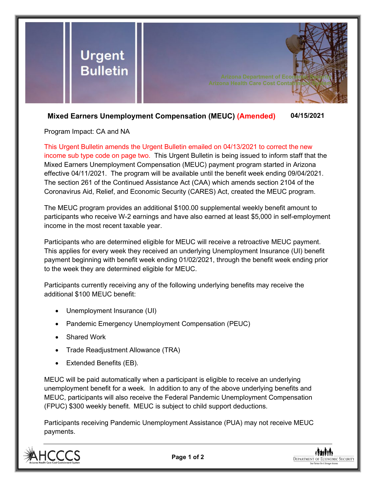

## **Mixed Earners Unemployment Compensation (MEUC) (Amended) 04/15/2021**

Program Impact: CA and NA

This Urgent Bulletin amends the Urgent Bulletin emailed on 04/13/2021 to correct the new income sub type code on page two. This Urgent Bulletin is being issued to inform staff that the Mixed Earners Unemployment Compensation (MEUC) payment program started in Arizona effective 04/11/2021. The program will be available until the benefit week ending 09/04/2021. The section 261 of the Continued Assistance Act (CAA) which amends section 2104 of the Coronavirus Aid, Relief, and Economic Security (CARES) Act, created the MEUC program.

The MEUC program provides an additional \$100.00 supplemental weekly benefit amount to participants who receive W-2 earnings and have also earned at least \$5,000 in self-employment income in the most recent taxable year.

Participants who are determined eligible for MEUC will receive a retroactive MEUC payment. This applies for every week they received an underlying Unemployment Insurance (UI) benefit payment beginning with benefit week ending 01/02/2021, through the benefit week ending prior to the week they are determined eligible for MEUC.

Participants currently receiving any of the following underlying benefits may receive the additional \$100 MEUC benefit:

- Unemployment Insurance (UI)
- Pandemic Emergency Unemployment Compensation (PEUC)
- Shared Work
- Trade Readjustment Allowance (TRA)
- Extended Benefits (EB).

MEUC will be paid automatically when a participant is eligible to receive an underlying unemployment benefit for a week. In addition to any of the above underlying benefits and MEUC, participants will also receive the Federal Pandemic Unemployment Compensation (FPUC) \$300 weekly benefit. MEUC is subject to child support deductions.

Participants receiving Pandemic Unemployment Assistance (PUA) may not receive MEUC payments.